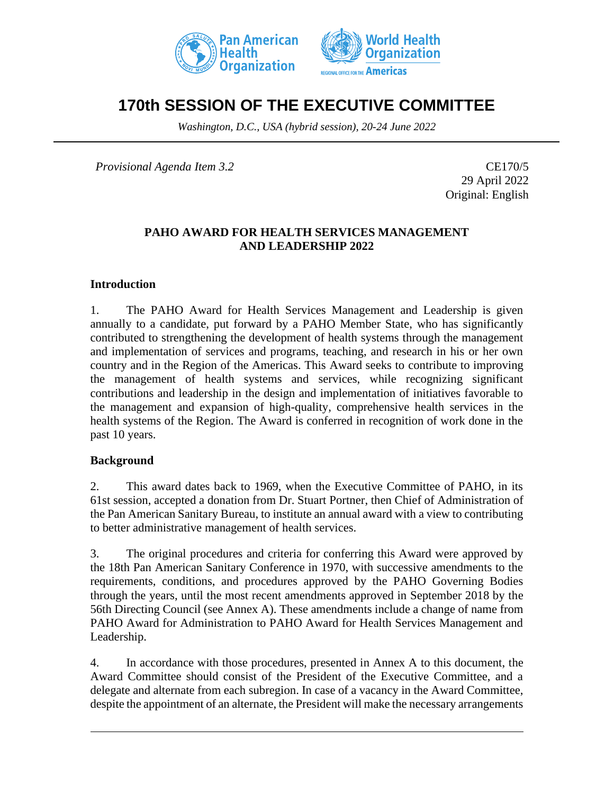



# **170th SESSION OF THE EXECUTIVE COMMITTEE**

*Washington, D.C., USA (hybrid session), 20-24 June 2022*

*Provisional Agenda Item 3.2* CE170/5

29 April 2022 Original: English

# **PAHO AWARD FOR HEALTH SERVICES MANAGEMENT AND LEADERSHIP 2022**

#### **Introduction**

1. The PAHO Award for Health Services Management and Leadership is given annually to a candidate, put forward by a PAHO Member State, who has significantly contributed to strengthening the development of health systems through the management and implementation of services and programs, teaching, and research in his or her own country and in the Region of the Americas. This Award seeks to contribute to improving the management of health systems and services, while recognizing significant contributions and leadership in the design and implementation of initiatives favorable to the management and expansion of high-quality, comprehensive health services in the health systems of the Region. The Award is conferred in recognition of work done in the past 10 years.

# **Background**

2. This award dates back to 1969, when the Executive Committee of PAHO, in its 61st session, accepted a donation from Dr. Stuart Portner, then Chief of Administration of the Pan American Sanitary Bureau, to institute an annual award with a view to contributing to better administrative management of health services.

3. The original procedures and criteria for conferring this Award were approved by the 18th Pan American Sanitary Conference in 1970, with successive amendments to the requirements, conditions, and procedures approved by the PAHO Governing Bodies through the years, until the most recent amendments approved in September 2018 by the 56th Directing Council (see Annex A). These amendments include a change of name from PAHO Award for Administration to PAHO Award for Health Services Management and Leadership.

4. In accordance with those procedures, presented in Annex A to this document, the Award Committee should consist of the President of the Executive Committee, and a delegate and alternate from each subregion. In case of a vacancy in the Award Committee, despite the appointment of an alternate, the President will make the necessary arrangements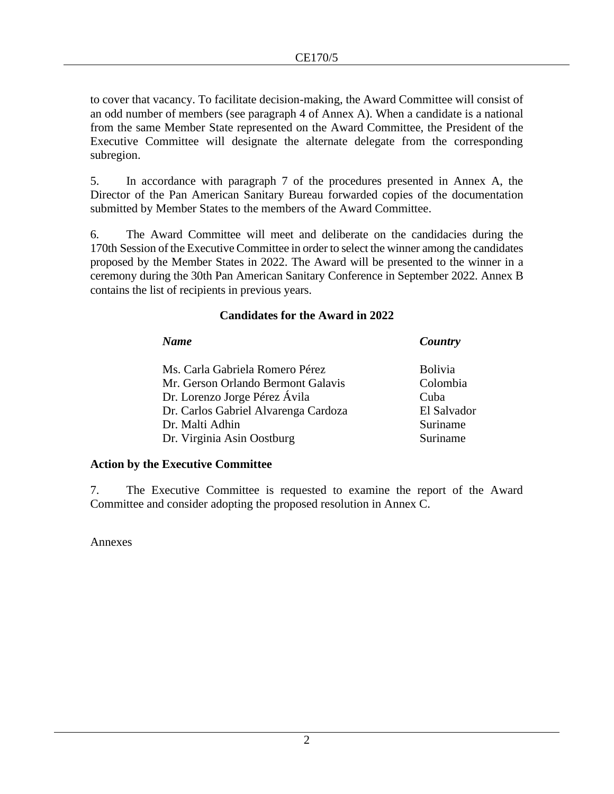to cover that vacancy. To facilitate decision-making, the Award Committee will consist of an odd number of members (see paragraph 4 of Annex A). When a candidate is a national from the same Member State represented on the Award Committee, the President of the Executive Committee will designate the alternate delegate from the corresponding subregion.

5. In accordance with paragraph 7 of the procedures presented in Annex A, the Director of the Pan American Sanitary Bureau forwarded copies of the documentation submitted by Member States to the members of the Award Committee.

6. The Award Committee will meet and deliberate on the candidacies during the 170th Session of the Executive Committee in order to select the winner among the candidates proposed by the Member States in 2022. The Award will be presented to the winner in a ceremony during the 30th Pan American Sanitary Conference in September 2022. Annex B contains the list of recipients in previous years.

# **Candidates for the Award in 2022**

| <b>Name</b>                          | Country        |
|--------------------------------------|----------------|
| Ms. Carla Gabriela Romero Pérez      | <b>Bolivia</b> |
| Mr. Gerson Orlando Bermont Galavis   | Colombia       |
| Dr. Lorenzo Jorge Pérez Ávila        | Cuba           |
| Dr. Carlos Gabriel Alvarenga Cardoza | El Salvador    |
| Dr. Malti Adhin                      | Suriname       |
| Dr. Virginia Asin Oostburg           | Suriname       |

# **Action by the Executive Committee**

7. The Executive Committee is requested to examine the report of the Award Committee and consider adopting the proposed resolution in Annex C.

Annexes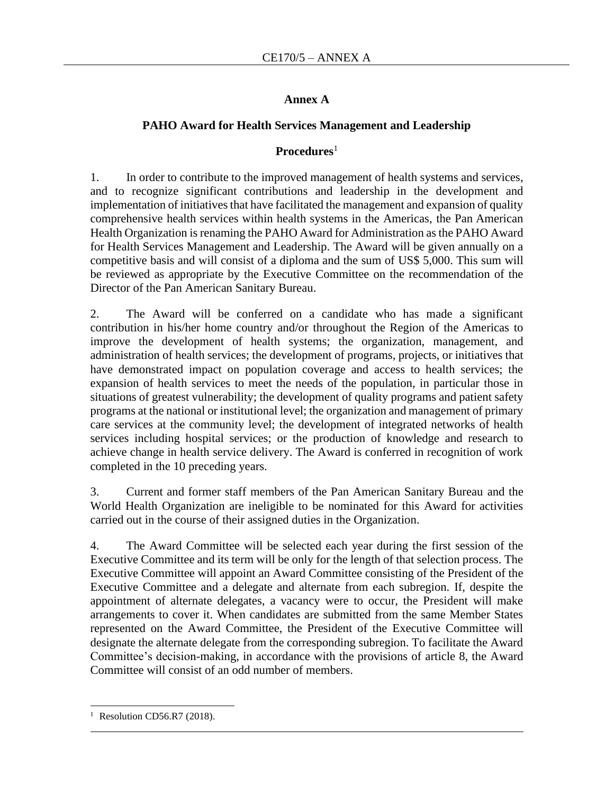# **Annex A**

# **PAHO Award for Health Services Management and Leadership**

# **Procedures**<sup>1</sup>

1. In order to contribute to the improved management of health systems and services, and to recognize significant contributions and leadership in the development and implementation of initiatives that have facilitated the management and expansion of quality comprehensive health services within health systems in the Americas, the Pan American Health Organization is renaming the PAHO Award for Administration as the PAHO Award for Health Services Management and Leadership. The Award will be given annually on a competitive basis and will consist of a diploma and the sum of US\$ 5,000. This sum will be reviewed as appropriate by the Executive Committee on the recommendation of the Director of the Pan American Sanitary Bureau.

2. The Award will be conferred on a candidate who has made a significant contribution in his/her home country and/or throughout the Region of the Americas to improve the development of health systems; the organization, management, and administration of health services; the development of programs, projects, or initiatives that have demonstrated impact on population coverage and access to health services; the expansion of health services to meet the needs of the population, in particular those in situations of greatest vulnerability; the development of quality programs and patient safety programs at the national or institutional level; the organization and management of primary care services at the community level; the development of integrated networks of health services including hospital services; or the production of knowledge and research to achieve change in health service delivery. The Award is conferred in recognition of work completed in the 10 preceding years.

3. Current and former staff members of the Pan American Sanitary Bureau and the World Health Organization are ineligible to be nominated for this Award for activities carried out in the course of their assigned duties in the Organization.

4. The Award Committee will be selected each year during the first session of the Executive Committee and its term will be only for the length of that selection process. The Executive Committee will appoint an Award Committee consisting of the President of the Executive Committee and a delegate and alternate from each subregion. If, despite the appointment of alternate delegates, a vacancy were to occur, the President will make arrangements to cover it. When candidates are submitted from the same Member States represented on the Award Committee, the President of the Executive Committee will designate the alternate delegate from the corresponding subregion. To facilitate the Award Committee's decision-making, in accordance with the provisions of article 8, the Award Committee will consist of an odd number of members.

<sup>&</sup>lt;sup>1</sup> Resolution CD56.R7 (2018).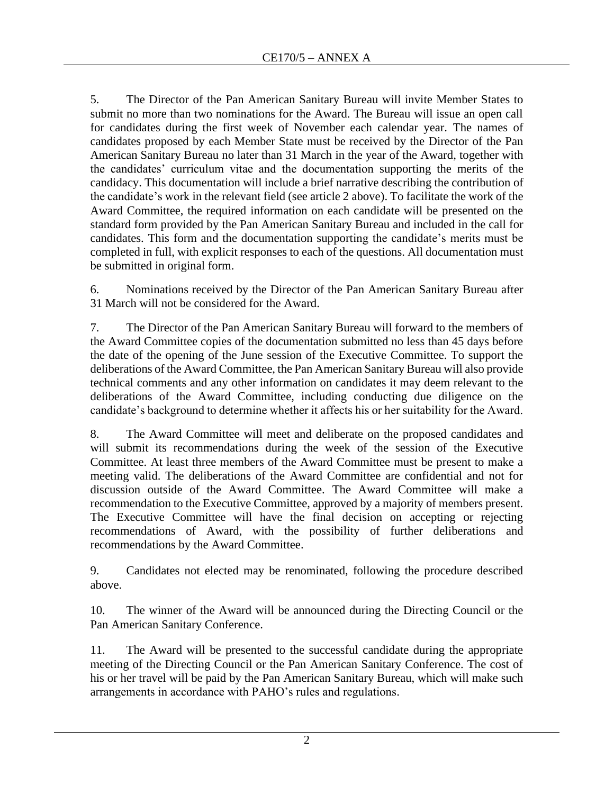5. The Director of the Pan American Sanitary Bureau will invite Member States to submit no more than two nominations for the Award. The Bureau will issue an open call for candidates during the first week of November each calendar year. The names of candidates proposed by each Member State must be received by the Director of the Pan American Sanitary Bureau no later than 31 March in the year of the Award, together with the candidates' curriculum vitae and the documentation supporting the merits of the candidacy. This documentation will include a brief narrative describing the contribution of the candidate's work in the relevant field (see article 2 above). To facilitate the work of the Award Committee, the required information on each candidate will be presented on the standard form provided by the Pan American Sanitary Bureau and included in the call for candidates. This form and the documentation supporting the candidate's merits must be completed in full, with explicit responses to each of the questions. All documentation must be submitted in original form.

6. Nominations received by the Director of the Pan American Sanitary Bureau after 31 March will not be considered for the Award.

7. The Director of the Pan American Sanitary Bureau will forward to the members of the Award Committee copies of the documentation submitted no less than 45 days before the date of the opening of the June session of the Executive Committee. To support the deliberations of the Award Committee, the Pan American Sanitary Bureau will also provide technical comments and any other information on candidates it may deem relevant to the deliberations of the Award Committee, including conducting due diligence on the candidate's background to determine whether it affects his or her suitability for the Award.

8. The Award Committee will meet and deliberate on the proposed candidates and will submit its recommendations during the week of the session of the Executive Committee. At least three members of the Award Committee must be present to make a meeting valid. The deliberations of the Award Committee are confidential and not for discussion outside of the Award Committee. The Award Committee will make a recommendation to the Executive Committee, approved by a majority of members present. The Executive Committee will have the final decision on accepting or rejecting recommendations of Award, with the possibility of further deliberations and recommendations by the Award Committee.

9. Candidates not elected may be renominated, following the procedure described above.

10. The winner of the Award will be announced during the Directing Council or the Pan American Sanitary Conference.

11. The Award will be presented to the successful candidate during the appropriate meeting of the Directing Council or the Pan American Sanitary Conference. The cost of his or her travel will be paid by the Pan American Sanitary Bureau, which will make such arrangements in accordance with PAHO's rules and regulations.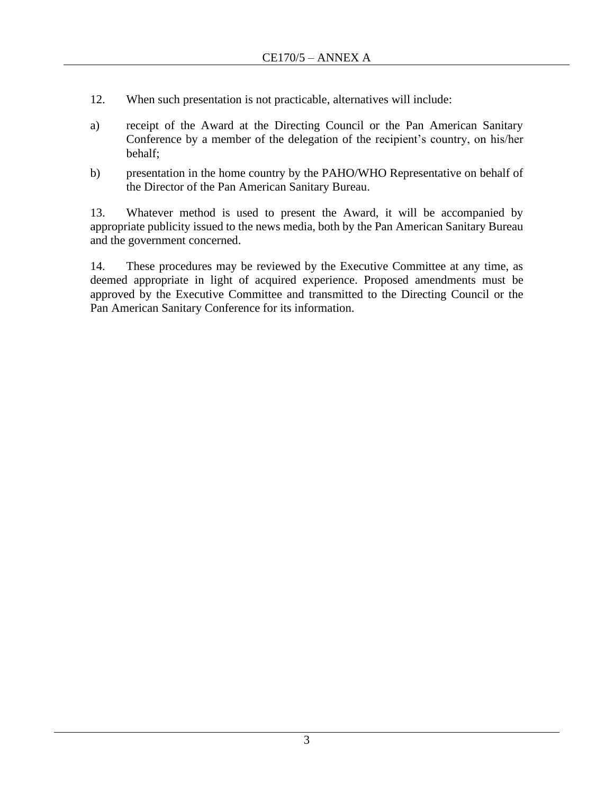- 12. When such presentation is not practicable, alternatives will include:
- a) receipt of the Award at the Directing Council or the Pan American Sanitary Conference by a member of the delegation of the recipient's country, on his/her behalf;
- b) presentation in the home country by the PAHO/WHO Representative on behalf of the Director of the Pan American Sanitary Bureau.

13. Whatever method is used to present the Award, it will be accompanied by appropriate publicity issued to the news media, both by the Pan American Sanitary Bureau and the government concerned.

14. These procedures may be reviewed by the Executive Committee at any time, as deemed appropriate in light of acquired experience. Proposed amendments must be approved by the Executive Committee and transmitted to the Directing Council or the Pan American Sanitary Conference for its information.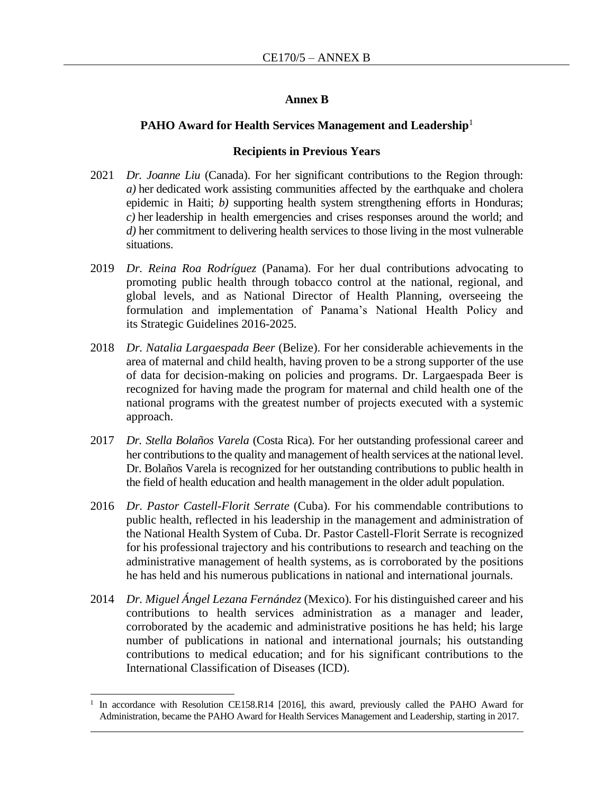#### **Annex B**

#### **PAHO Award for Health Services Management and Leadership**<sup>1</sup>

#### **Recipients in Previous Years**

- 2021 *Dr. Joanne Liu* (Canada). For her significant contributions to the Region through: *a)* her dedicated work assisting communities affected by the earthquake and cholera epidemic in Haiti; *b)* supporting health system strengthening efforts in Honduras; *c)* her leadership in health emergencies and crises responses around the world; and *d)* her commitment to delivering health services to those living in the most vulnerable situations.
- 2019 *Dr. Reina Roa Rodríguez* (Panama). For her dual contributions advocating to promoting public health through tobacco control at the national, regional, and global levels, and as National Director of Health Planning, overseeing the formulation and implementation of Panama's National Health Policy and its Strategic Guidelines 2016-2025.
- 2018 *Dr. Natalia Largaespada Beer* (Belize). For her considerable achievements in the area of maternal and child health, having proven to be a strong supporter of the use of data for decision-making on policies and programs. Dr. Largaespada Beer is recognized for having made the program for maternal and child health one of the national programs with the greatest number of projects executed with a systemic approach.
- 2017 *Dr. Stella Bolaños Varela* (Costa Rica). For her outstanding professional career and her contributions to the quality and management of health services at the national level. Dr. Bolaños Varela is recognized for her outstanding contributions to public health in the field of health education and health management in the older adult population.
- 2016 *Dr. Pastor Castell-Florit Serrate* (Cuba). For his commendable contributions to public health, reflected in his leadership in the management and administration of the National Health System of Cuba. Dr. Pastor Castell-Florit Serrate is recognized for his professional trajectory and his contributions to research and teaching on the administrative management of health systems, as is corroborated by the positions he has held and his numerous publications in national and international journals.
- 2014 *Dr. Miguel Ángel Lezana Fernández* (Mexico). For his distinguished career and his contributions to health services administration as a manager and leader, corroborated by the academic and administrative positions he has held; his large number of publications in national and international journals; his outstanding contributions to medical education; and for his significant contributions to the International Classification of Diseases (ICD).

<sup>1</sup> In accordance with Resolution CE158.R14 [2016], this award, previously called the PAHO Award for Administration, became the PAHO Award for Health Services Management and Leadership, starting in 2017.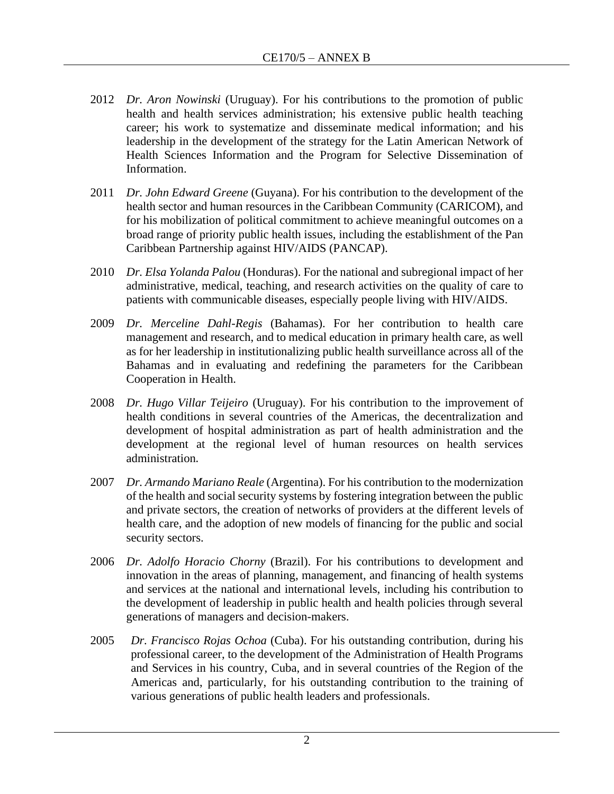- 2012 *Dr. Aron Nowinski* (Uruguay). For his contributions to the promotion of public health and health services administration; his extensive public health teaching career; his work to systematize and disseminate medical information; and his leadership in the development of the strategy for the Latin American Network of Health Sciences Information and the Program for Selective Dissemination of Information.
- 2011 *Dr. John Edward Greene* (Guyana). For his contribution to the development of the health sector and human resources in the Caribbean Community (CARICOM), and for his mobilization of political commitment to achieve meaningful outcomes on a broad range of priority public health issues, including the establishment of the Pan Caribbean Partnership against HIV/AIDS (PANCAP).
- 2010 *Dr. Elsa Yolanda Palou* (Honduras). For the national and subregional impact of her administrative, medical, teaching, and research activities on the quality of care to patients with communicable diseases, especially people living with HIV/AIDS.
- 2009 *Dr. Merceline Dahl-Regis* (Bahamas). For her contribution to health care management and research, and to medical education in primary health care, as well as for her leadership in institutionalizing public health surveillance across all of the Bahamas and in evaluating and redefining the parameters for the Caribbean Cooperation in Health.
- 2008 *Dr. Hugo Villar Teijeiro* (Uruguay). For his contribution to the improvement of health conditions in several countries of the Americas, the decentralization and development of hospital administration as part of health administration and the development at the regional level of human resources on health services administration.
- 2007 *Dr. Armando Mariano Reale* (Argentina). For his contribution to the modernization of the health and social security systems by fostering integration between the public and private sectors, the creation of networks of providers at the different levels of health care, and the adoption of new models of financing for the public and social security sectors.
- 2006 *Dr. Adolfo Horacio Chorny* (Brazil). For his contributions to development and innovation in the areas of planning, management, and financing of health systems and services at the national and international levels, including his contribution to the development of leadership in public health and health policies through several generations of managers and decision-makers.
- 2005 *Dr. Francisco Rojas Ochoa* (Cuba). For his outstanding contribution, during his professional career, to the development of the Administration of Health Programs and Services in his country, Cuba, and in several countries of the Region of the Americas and, particularly, for his outstanding contribution to the training of various generations of public health leaders and professionals.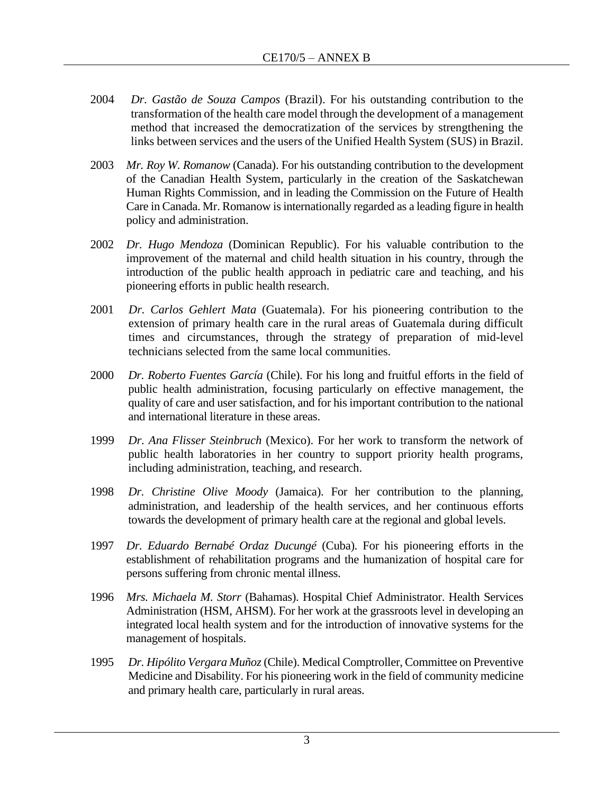- 2004 *Dr. Gastão de Souza Campos* (Brazil). For his outstanding contribution to the transformation of the health care model through the development of a management method that increased the democratization of the services by strengthening the links between services and the users of the Unified Health System (SUS) in Brazil.
- 2003 *Mr. Roy W. Romanow* (Canada). For his outstanding contribution to the development of the Canadian Health System, particularly in the creation of the Saskatchewan Human Rights Commission, and in leading the Commission on the Future of Health Care in Canada. Mr. Romanow is internationally regarded as a leading figure in health policy and administration.
- 2002 *Dr. Hugo Mendoza* (Dominican Republic). For his valuable contribution to the improvement of the maternal and child health situation in his country, through the introduction of the public health approach in pediatric care and teaching, and his pioneering efforts in public health research.
- 2001 *Dr. Carlos Gehlert Mata* (Guatemala). For his pioneering contribution to the extension of primary health care in the rural areas of Guatemala during difficult times and circumstances, through the strategy of preparation of mid-level technicians selected from the same local communities.
- 2000 *Dr. Roberto Fuentes García* (Chile). For his long and fruitful efforts in the field of public health administration, focusing particularly on effective management, the quality of care and user satisfaction, and for his important contribution to the national and international literature in these areas.
- 1999 *Dr. Ana Flisser Steinbruch* (Mexico). For her work to transform the network of public health laboratories in her country to support priority health programs, including administration, teaching, and research.
- 1998 *Dr. Christine Olive Moody* (Jamaica). For her contribution to the planning, administration, and leadership of the health services, and her continuous efforts towards the development of primary health care at the regional and global levels.
- 1997 *Dr. Eduardo Bernabé Ordaz Ducungé* (Cuba). For his pioneering efforts in the establishment of rehabilitation programs and the humanization of hospital care for persons suffering from chronic mental illness.
- 1996 *Mrs. Michaela M. Storr* (Bahamas). Hospital Chief Administrator. Health Services Administration (HSM, AHSM). For her work at the grassroots level in developing an integrated local health system and for the introduction of innovative systems for the management of hospitals.
- 1995 *Dr. Hipólito Vergara Muñoz* (Chile). Medical Comptroller, Committee on Preventive Medicine and Disability. For his pioneering work in the field of community medicine and primary health care, particularly in rural areas.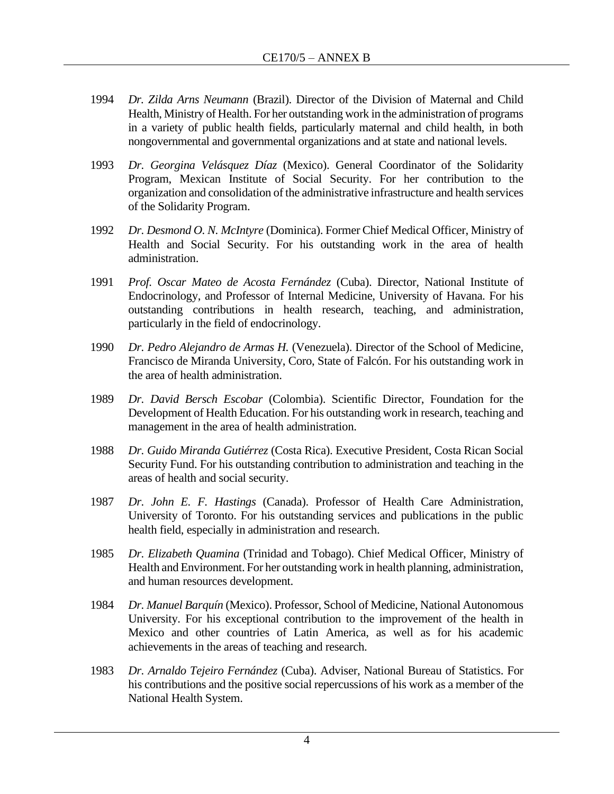- 1994 *Dr. Zilda Arns Neumann* (Brazil). Director of the Division of Maternal and Child Health, Ministry of Health. For her outstanding work in the administration of programs in a variety of public health fields, particularly maternal and child health, in both nongovernmental and governmental organizations and at state and national levels.
- 1993 *Dr. Georgina Velásquez Díaz* (Mexico). General Coordinator of the Solidarity Program, Mexican Institute of Social Security. For her contribution to the organization and consolidation of the administrative infrastructure and health services of the Solidarity Program.
- 1992 *Dr. Desmond O. N. McIntyre* (Dominica). Former Chief Medical Officer, Ministry of Health and Social Security. For his outstanding work in the area of health administration.
- 1991 *Prof. Oscar Mateo de Acosta Fernández* (Cuba). Director, National Institute of Endocrinology, and Professor of Internal Medicine, University of Havana. For his outstanding contributions in health research, teaching, and administration, particularly in the field of endocrinology.
- 1990 *Dr. Pedro Alejandro de Armas H.* (Venezuela). Director of the School of Medicine, Francisco de Miranda University, Coro, State of Falcón. For his outstanding work in the area of health administration.
- 1989 *Dr. David Bersch Escobar* (Colombia). Scientific Director, Foundation for the Development of Health Education. For his outstanding work in research, teaching and management in the area of health administration.
- 1988 *Dr. Guido Miranda Gutiérrez* (Costa Rica). Executive President, Costa Rican Social Security Fund. For his outstanding contribution to administration and teaching in the areas of health and social security.
- 1987 *Dr. John E. F. Hastings* (Canada). Professor of Health Care Administration, University of Toronto. For his outstanding services and publications in the public health field, especially in administration and research.
- 1985 *Dr. Elizabeth Quamina* (Trinidad and Tobago). Chief Medical Officer, Ministry of Health and Environment. For her outstanding work in health planning, administration, and human resources development.
- 1984 *Dr. Manuel Barquín* (Mexico). Professor, School of Medicine, National Autonomous University. For his exceptional contribution to the improvement of the health in Mexico and other countries of Latin America, as well as for his academic achievements in the areas of teaching and research.
- 1983 *Dr. Arnaldo Tejeiro Fernández* (Cuba). Adviser, National Bureau of Statistics. For his contributions and the positive social repercussions of his work as a member of the National Health System.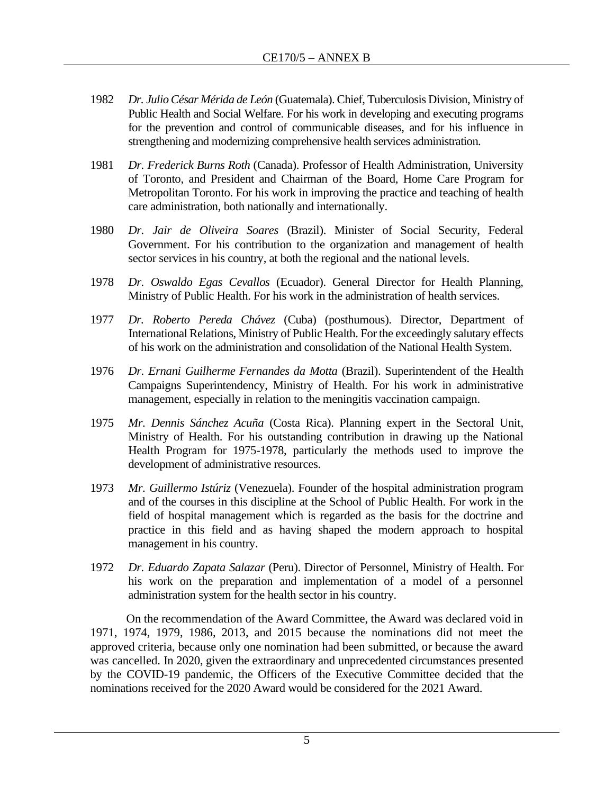- 1982 *Dr. Julio César Mérida de León* (Guatemala). Chief, Tuberculosis Division, Ministry of Public Health and Social Welfare. For his work in developing and executing programs for the prevention and control of communicable diseases, and for his influence in strengthening and modernizing comprehensive health services administration.
- 1981 *Dr. Frederick Burns Roth* (Canada). Professor of Health Administration, University of Toronto, and President and Chairman of the Board, Home Care Program for Metropolitan Toronto. For his work in improving the practice and teaching of health care administration, both nationally and internationally.
- 1980 *Dr. Jair de Oliveira Soares* (Brazil). Minister of Social Security, Federal Government. For his contribution to the organization and management of health sector services in his country, at both the regional and the national levels.
- 1978 *Dr. Oswaldo Egas Cevallos* (Ecuador). General Director for Health Planning, Ministry of Public Health. For his work in the administration of health services.
- 1977 *Dr. Roberto Pereda Chávez* (Cuba) (posthumous). Director, Department of International Relations, Ministry of Public Health. For the exceedingly salutary effects of his work on the administration and consolidation of the National Health System.
- 1976 *Dr. Ernani Guilherme Fernandes da Motta* (Brazil). Superintendent of the Health Campaigns Superintendency, Ministry of Health. For his work in administrative management, especially in relation to the meningitis vaccination campaign.
- 1975 *Mr. Dennis Sánchez Acuña* (Costa Rica). Planning expert in the Sectoral Unit, Ministry of Health. For his outstanding contribution in drawing up the National Health Program for 1975-1978, particularly the methods used to improve the development of administrative resources.
- 1973 *Mr. Guillermo Istúriz* (Venezuela). Founder of the hospital administration program and of the courses in this discipline at the School of Public Health. For work in the field of hospital management which is regarded as the basis for the doctrine and practice in this field and as having shaped the modern approach to hospital management in his country.
- 1972 *Dr. Eduardo Zapata Salazar* (Peru). Director of Personnel, Ministry of Health. For his work on the preparation and implementation of a model of a personnel administration system for the health sector in his country.

On the recommendation of the Award Committee, the Award was declared void in 1971, 1974, 1979, 1986, 2013, and 2015 because the nominations did not meet the approved criteria, because only one nomination had been submitted, or because the award was cancelled. In 2020, given the extraordinary and unprecedented circumstances presented by the COVID-19 pandemic, the Officers of the Executive Committee decided that the nominations received for the 2020 Award would be considered for the 2021 Award.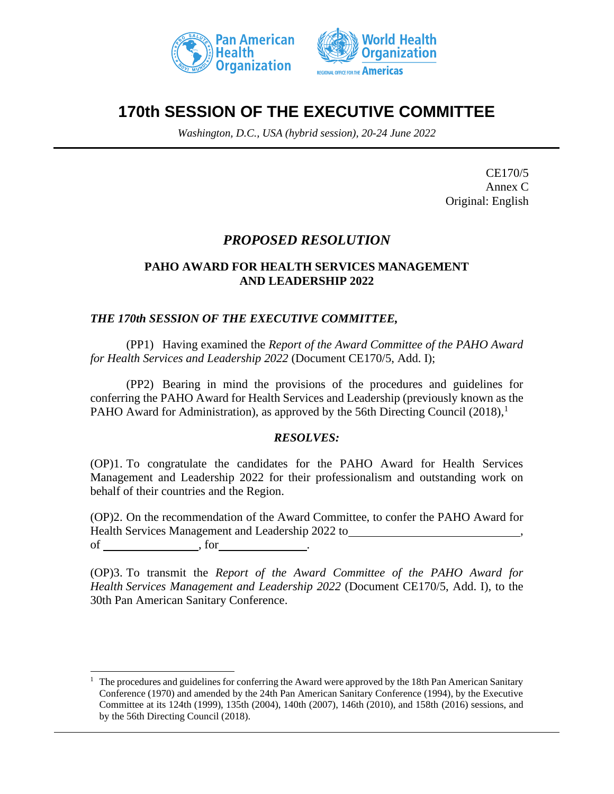



# **170th SESSION OF THE EXECUTIVE COMMITTEE**

*Washington, D.C., USA (hybrid session), 20-24 June 2022*

CE170/5 Annex C Original: English

# *PROPOSED RESOLUTION*

# **PAHO AWARD FOR HEALTH SERVICES MANAGEMENT AND LEADERSHIP 2022**

# *THE 170th SESSION OF THE EXECUTIVE COMMITTEE,*

(PP1) Having examined the *Report of the Award Committee of the PAHO Award for Health Services and Leadership 2022* (Document CE170/5, Add. I);

(PP2) Bearing in mind the provisions of the procedures and guidelines for conferring the PAHO Award for Health Services and Leadership (previously known as the PAHO Award for Administration), as approved by the 56th Directing Council  $(2018)$ ,<sup>1</sup>

# *RESOLVES:*

(OP)1. To congratulate the candidates for the PAHO Award for Health Services Management and Leadership 2022 for their professionalism and outstanding work on behalf of their countries and the Region.

(OP)2. On the recommendation of the Award Committee, to confer the PAHO Award for Health Services Management and Leadership 2022 to , of contracts of  $\overline{\phantom{a}}$  , for

(OP)3. To transmit the *Report of the Award Committee of the PAHO Award for Health Services Management and Leadership 2022* (Document CE170/5, Add. I), to the 30th Pan American Sanitary Conference.

 $1$  The procedures and guidelines for conferring the Award were approved by the 18th Pan American Sanitary Conference (1970) and amended by the 24th Pan American Sanitary Conference (1994), by the Executive Committee at its 124th (1999), 135th (2004), 140th (2007), 146th (2010), and 158th (2016) sessions, and by the 56th Directing Council (2018).